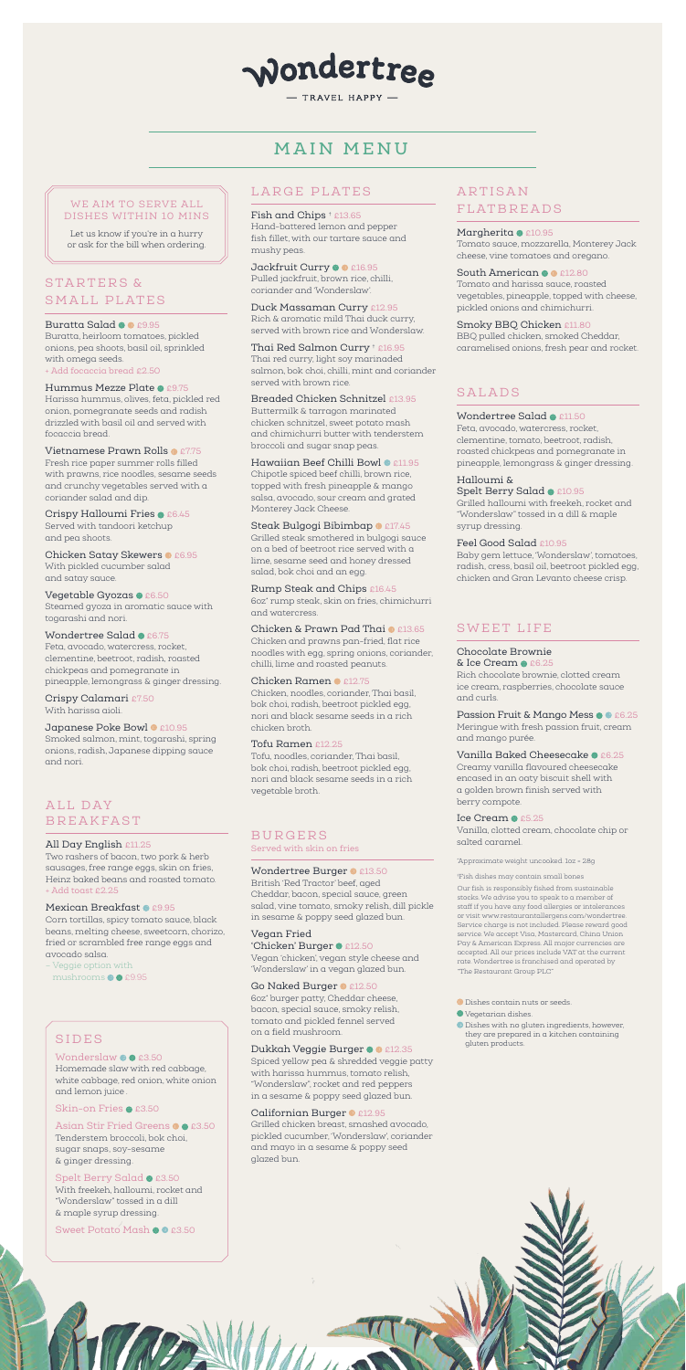# wondertree

TRAVEL HAPPY -

### ALL DAY BREAKFAST

#### All Day English £11.25

Two rashers of bacon, two pork & herb sausages, free range eggs, skin on fries, Heinz baked beans and roasted tomato. + Add toast £2.25

#### Mexican Breakfast <sup>®</sup> £9.95

### STARTERS & SMALL PLATES

#### Buratta Salad @ @ £9.95

Buratta, heirloom tomatoes, pickled onions, pea shoots, basil oil, sprinkled with omega seeds. Add focaccia bread £2.50

### Hummus Mezze Plate <sup>0</sup> £9.75

Corn tortillas, spicy tomato sauce, black beans, melting cheese, sweetcorn, chorizo, fried or scrambled free range eggs and avocado salsa.

– Veggie option with

mushrooms  $\bullet$  £9.95

Crispy Halloumi Fries  $\bullet$  £6.45 Served with tandoori ketchup and pea shoots.

Chicken Satay Skewers <sup>0</sup> £6.95 With pickled cucumber salad and satay sauce.

### Vegetable Gyozas  $\bullet$  £6.50

Harissa hummus, olives, feta, pickled red onion, pomegranate seeds and radish drizzled with basil oil and served with focaccia bread.

#### Vietnamese Prawn Rolls <sup>0</sup> £7.75

### **ARTISAN** FLATBREADS

Margherita @ £10.95 Tomato sauce, mozzarella, Monterey Jack cheese, vine tomatoes and oregano.

Fresh rice paper summer rolls filled with prawns, rice noodles, sesame seeds and crunchy vegetables served with a coriander salad and dip.

South American  $\bullet$  £12.80 Tomato and harissa sauce, roasted vegetables, pineapple, topped with cheese, pickled onions and chimichurri.

#### Smoky BBQ Chicken £11.80 BBQ pulled chicken, smoked Cheddar, caramelised onions, fresh pear and rocket.

Steamed gyoza in aromatic sauce with togarashi and nori.

### Wondertree Salad <sup>0</sup> £6.75

Feta, avocado, watercress, rocket, clementine, beetroot, radish, roasted chickpeas and pomegranate in pineapple, lemongrass & ginger dressing. Hawaiian Beef Chilli Bowl <sup>@</sup> £11.95 Chipotle spiced beef chilli, brown rice, topped with fresh pineapple & mango salsa, avocado, sour cream and grated Monterey Jack Cheese.

#### Steak Bulgogi Bibimbap <sup>0</sup> £17.45

Crispy Calamari £7.50 With harissa aioli.

### Japanese Poke Bowl <sup>0</sup> £10.95

Smoked salmon, mint, togarashi, spring onions, radish, Japanese dipping sauce and nori.

### LARGE PLATES

Spelt Berry Salad <sup>0</sup> £10.95 Grilled halloumi with freekeh, rocket and "Wonderslaw" tossed in a dill & maple syrup dressing.

#### Fish and Chips † £13.65 Hand-battered lemon and pepper fish fillet, with our tartare sauce and

mushy peas. Jackfruit Curry <sup>®</sup> £16.95 Pulled jackfruit, brown rice, chilli,

coriander and 'Wonderslaw'.

'Chicken' Burger <sup>1</sup> £12.50 Vegan 'chicken', vegan style cheese and 'Wonderslaw' in a vegan glazed bun.

#### Go Naked Burger <sup>0</sup> £12.50

Duck Massaman Curry £12.95 Rich & aromatic mild Thai duck curry, served with brown rice and Wonderslaw.

Thai Red Salmon Curry † £16.95 Thai red curry, light soy marinaded salmon, bok choi, chilli, mint and coriander served with brown rice.

Breaded Chicken Schnitzel £13.95 Buttermilk & tarragon marinated chicken schnitzel, sweet potato mash and chimichurri butter with tenderstem broccoli and sugar snap peas.

> & Ice Cream  $\bullet$  £6.25 Rich chocolate brownie, clotted cream ice cream, raspberries, chocolate sauce and curls.

Passion Fruit & Mango Mess  $\bullet$   $\bullet$  £6.25 Meringue with fresh passion fruit, cream and mango purée.

Vanilla Baked Cheesecake <sup>0</sup> £6.25 Creamy vanilla flavoured cheesecake encased in an oaty biscuit shell with a golden brown finish served with berry compote.

#### Ice Cream  $\bullet$  £5.25

Grilled steak smothered in bulgogi sauce on a bed of beetroot rice served with a lime, sesame seed and honey dressed salad, bok choi and an egg.

#### Rump Steak and Chips £16.45 6oz\* rump steak, skin on fries, chimichurri and watercress.

Chicken & Prawn Pad Thai <sup>0</sup> £13.65

- **D** Dishes contain nuts or seeds.
- Vegetarian dishes.
- Dishes with no gluten ingredients, however,

Chicken and prawns pan-fried, flat rice noodles with egg, spring onions, coriander, chilli, lime and roasted peanuts.

#### Chicken Ramen <sup>0</sup> £12.75

Chicken, noodles, coriander, Thai basil, bok choi, radish, beetroot pickled egg, nori and black sesame seeds in a rich chicken broth.

#### Tofu Ramen £12.25

Tofu, noodles, coriander, Thai basil, bok choi, radish, beetroot pickled egg, nori and black sesame seeds in a rich vegetable broth.

## SALADS

#### Wondertree Salad @ £11.50

Feta, avocado, watercress, rocket, clementine, tomato, beetroot, radish, roasted chickpeas and pomegranate in pineapple, lemongrass & ginger dressing.

#### Halloumi &

#### Feel Good Salad £10.95

Baby gem lettuce, 'Wonderslaw', tomatoes, radish, cress, basil oil, beetroot pickled egg, chicken and Gran Levanto cheese crisp.

### B U R G E R S

Served with skin on fries

#### Wondertree Burger <sup>0</sup> £13.50

British 'Red Tractor' beef, aged Cheddar, bacon, special sauce, green salad, vine tomato, smoky relish, dill pickle in sesame & poppy seed glazed bun.

#### Vegan Fried

6oz\* burger patty, Cheddar cheese, bacon, special sauce, smoky relish, tomato and pickled fennel served on a field mushroom.

Spiced yellow pea & shredded veggie patty with harissa hummus, tomato relish, "Wonderslaw", rocket and red peppers in a sesame & poppy seed glazed bun.

#### Californian Burger <sup>0</sup> £12.95

Grilled chicken breast, smashed avocado, pickled cucumber, 'Wonderslaw', coriander and mayo in a sesame & poppy seed glazed bun.

### SWEET LIFE

#### Chocolate Brownie

Vanilla, clotted cream, chocolate chip or salted caramel.

#### WE AIM TO SERVE ALL DISHES WITHIN 10 MINS

Let us know if you're in a hurry or ask for the bill when ordering.

#### SIDES

#### Wonderslaw £3.50

Homemade slaw with red cabbage, white cabbage, red onion, white onion and lemon juice .

#### Skin-on Fries @ £3.50

#### Asian Stir Fried Greens @@ £3.50

Tenderstem broccoli, bok choi, sugar snaps, soy-sesame & ginger dressing.

#### Spelt Berry Salad @ £3.50

With freekeh, halloumi, rocket and "Wonderslaw" tossed in a dill & maple syrup dressing.

Sweet Potato Mash  $\bullet$  £3.50

**TACANING** 

#### Dukkah Veggie Burger <sup>00</sup>£12.35

they are prepared in a kitchen containing gluten products.

# MAIN MENU

Our fish is responsibly fished from sustainable stocks. We advise you to speak to a member of staff if you have any food allergies or intolerances or visit www.restaurantallergens.com/wondertree. Service charge is not included. Please reward good service. We accept Visa, Mastercard, China Union Pay & American Express. All major currencies are accepted. All our prices include VAT at the current rate. Wondertree is franchised and operated by "The Restaurant Group PLC"

† Fish dishes may contain small bones

\*Approximate weight uncooked. 1oz = 28g